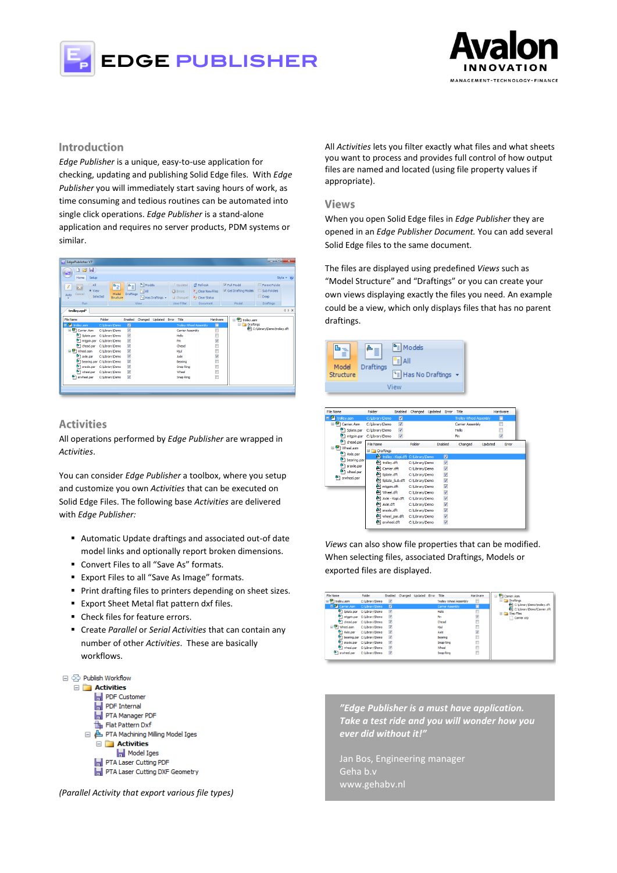



# **Introduction**

*Edge Publisher* is a unique, easy-to-use application for checking, updating and publishing Solid Edge files. With *Edge Publisher* you will immediately start saving hours of work, as time consuming and tedious routines can be automated into single click operations. *Edge Publisher* is a stand-alone application and requires no server products, PDM systems or similar.



# **Activities**

All operations performed by *Edge Publisher* are wrapped in *Activities*.

You can consider *Edge Publisher* a toolbox, where you setup and customize you own *Activities* that can be executed on Solid Edge Files. The following base *Activities* are delivered with *Edge Publisher:*

- Automatic Update draftings and associated out-of date model links and optionally report broken dimensions.
- Convert Files to all "Save As" formats.
- Export Files to all "Save As Image" formats.
- **Print drafting files to printers depending on sheet sizes.**
- **Export Sheet Metal flat pattern dxf files.**
- Check files for feature errors.
- Create *Parallel* or *Serial Activities* that can contain any number of other *Activities*. These are basically workflows.



*(Parallel Activity that export various file types)*

All *Activities* lets you filter exactly what files and what sheets you want to process and provides full control of how output files are named and located (using file property values if appropriate).

#### **Views**

When you open Solid Edge files in *Edge Publisher* they are opened in an *Edge Publisher Document.* You can add several Solid Edge files to the same document.

The files are displayed using predefined *Views* such as "Model Structure" and "Draftings" or you can create your own views displaying exactly the files you need. An example could be a view, which only displays files that has no parent draftings.



| <b>File Name</b>          | Folder                     | Enabled              | Changed Updated Error                |                         | Title                         |         | Hardware                |  |
|---------------------------|----------------------------|----------------------|--------------------------------------|-------------------------|-------------------------------|---------|-------------------------|--|
| trolley.asm               | C:\Library\Demo            | $\blacksquare$       |                                      |                         | <b>Trolley Wheel Assembly</b> |         | п                       |  |
| O Carrier Asm             | C:\Library\Demo            | $\blacktriangledown$ |                                      |                         | <b>Carrier Assembly</b>       |         |                         |  |
| Splate.par                | C:\Library\Demo            | V                    |                                      |                         | Hello                         |         |                         |  |
| <sup>6</sup> ] mtgpin.par | C:\Library\Demo            | V                    |                                      |                         | Pin                           |         | $\overline{\mathsf{v}}$ |  |
| <sup>9</sup> 1 chead.par  | File Name                  |                      | Folder                               | Enabled                 | Changed                       | Updated | Error                   |  |
| D Wheel.asm<br>Axle.par   | <b>E</b> Draftings         |                      |                                      |                         |                               |         |                         |  |
|                           |                            |                      | trolley - Kopi.dft   C: Library Demo | $\blacksquare$          |                               |         |                         |  |
| bearing.par               | <sup>4</sup> trolley.dft   |                      | C:\Library\Demo                      | $\triangledown$         |                               |         |                         |  |
| <sup>6</sup> ] sraxle.par | Carrier.dft                |                      | C:\Library\Demo                      | V                       |                               |         |                         |  |
| wheel.par                 | Splate.dft                 |                      | C: Library Demo                      | $\blacktriangledown$    |                               |         |                         |  |
| srwheel.par               | Splate_Sub.dft             |                      | C: Library Demo                      | $\blacktriangledown$    |                               |         |                         |  |
|                           | ntgpin.dft                 |                      | C:\Library\Demo                      | $\triangledown$         |                               |         |                         |  |
|                           | A Wheel.dft                |                      | C:\Library\Demo                      | V                       |                               |         |                         |  |
|                           | Axle - Kopi.dft            |                      | C:\Library\Demo                      | $\blacktriangledown$    |                               |         |                         |  |
|                           | Axle.dft                   |                      | C:\Library\Demo                      | $\blacktriangledown$    |                               |         |                         |  |
|                           | a fel sraxle.dft           |                      | C:\Library\Demo                      | $\triangledown$         |                               |         |                         |  |
|                           | wheel_par.dft              |                      | C: Library Demo                      | $\Delta$                |                               |         |                         |  |
|                           | $\blacksquare$ srwheel.dft |                      | C:\Library\Demo                      | $\overline{\mathsf{v}}$ |                               |         |                         |  |
|                           |                            |                      |                                      |                         |                               |         |                         |  |

*Views* can also show file properties that can be modified. When selecting files, associated Draftings, Models or exported files are displayed.

| File Name                  | Folder                                    | Enabled        | Changed Updated Error Title |  |                               | Hardware |
|----------------------------|-------------------------------------------|----------------|-----------------------------|--|-------------------------------|----------|
| □ P1 troley.asm            | C:\Library\Demo                           | V              |                             |  | <b>Trolley Wheel Assembly</b> | т        |
| D <sup>1</sup> Carrier Asm | C: Library Demo                           | $\blacksquare$ |                             |  | <b>Carrier Assembly</b>       | П        |
| Splate.par                 | C: Library Demo                           | V              |                             |  | Hello                         | B        |
|                            | mtgpin.par C:\Library\Demo                | V              |                             |  | Pin                           | V        |
| <sup>0</sup> ] chead.par   | C:\Library\Demo                           | V              |                             |  | Chead                         | n        |
| a <sup>O</sup> Wheel, asm  | C: Library Demo                           | V              |                             |  | Htul                          | ö        |
| Axle.par                   | C: Library Demo                           | V.             |                             |  | Axle                          | V        |
|                            | b ] bearing.par C:\Library\Demo           | V              |                             |  | Bearing                       | n        |
|                            | <sup>5</sup> ] graxle.par C:\Library\Demo | $\overline{v}$ |                             |  | Snap Ring                     | ö        |
|                            | 1 wheel.par C:\Library\Demo               | $\overline{v}$ |                             |  | Wheel                         | B        |
| <sup>0</sup> 1 srwheel.par | C:\Library\Demo                           | v              |                             |  | Snap Ring                     | n        |

*"Edge Publisher is a must have application. Take a test ride and you will wonder how you ever did without it!"*

Jan Bos, Engineering manager Geha b.v www.gehabv.nl